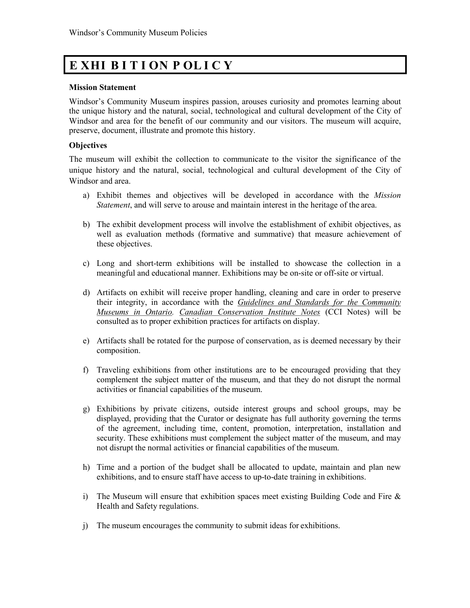## **E XHI B I T I ON P OL I C Y**

## **Mission Statement**

Windsor's Community Museum inspires passion, arouses curiosity and promotes learning about the unique history and the natural, social, technological and cultural development of the City of Windsor and area for the benefit of our community and our visitors. The museum will acquire, preserve, document, illustrate and promote this history.

## **Objectives**

The museum will exhibit the collection to communicate to the visitor the significance of the unique history and the natural, social, technological and cultural development of the City of Windsor and area.

- a) Exhibit themes and objectives will be developed in accordance with the *Mission Statement*, and will serve to arouse and maintain interest in the heritage of the area.
- b) The exhibit development process will involve the establishment of exhibit objectives, as well as evaluation methods (formative and summative) that measure achievement of these objectives.
- c) Long and short-term exhibitions will be installed to showcase the collection in a meaningful and educational manner. Exhibitions may be on-site or off-site or virtual.
- d) Artifacts on exhibit will receive proper handling, cleaning and care in order to preserve their integrity, in accordance with the *Guidelines and Standards for the Community Museums in Ontario. Canadian Conservation Institute Notes* (CCI Notes) will be consulted as to proper exhibition practices for artifacts on display.
- e) Artifacts shall be rotated for the purpose of conservation, as is deemed necessary by their composition.
- f) Traveling exhibitions from other institutions are to be encouraged providing that they complement the subject matter of the museum, and that they do not disrupt the normal activities or financial capabilities of the museum.
- g) Exhibitions by private citizens, outside interest groups and school groups, may be displayed, providing that the Curator or designate has full authority governing the terms of the agreement, including time, content, promotion, interpretation, installation and security. These exhibitions must complement the subject matter of the museum, and may not disrupt the normal activities or financial capabilities of the museum.
- h) Time and a portion of the budget shall be allocated to update, maintain and plan new exhibitions, and to ensure staff have access to up-to-date training in exhibitions.
- i) The Museum will ensure that exhibition spaces meet existing Building Code and Fire  $\&$ Health and Safety regulations.
- j) The museum encourages the community to submit ideas for exhibitions.